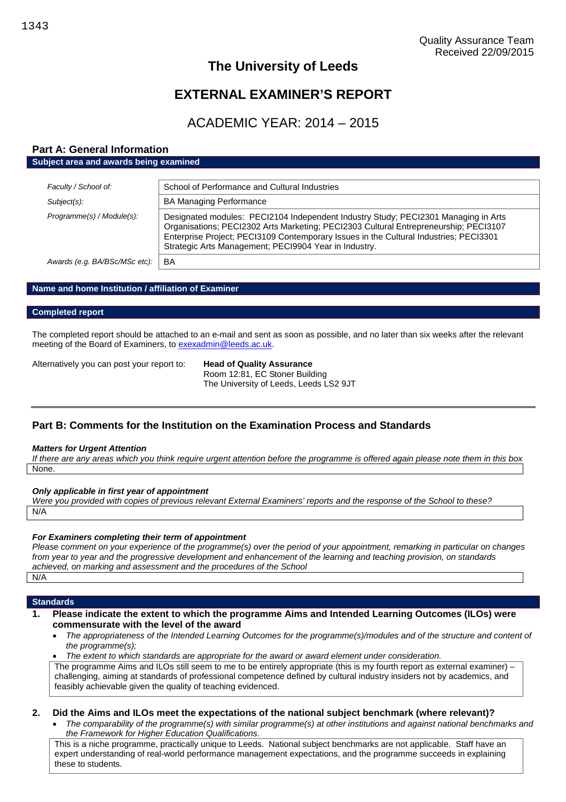# **The University of Leeds**

# **EXTERNAL EXAMINER'S REPORT**

# ACADEMIC YEAR: 2014 – 2015

## **Part A: General Information Subject area and awards being examined**

| Faculty / School of:          | School of Performance and Cultural Industries                                                                                                                                                                                                                                                                                |  |
|-------------------------------|------------------------------------------------------------------------------------------------------------------------------------------------------------------------------------------------------------------------------------------------------------------------------------------------------------------------------|--|
| Subject(s):                   | <b>BA Managing Performance</b>                                                                                                                                                                                                                                                                                               |  |
| Programme(s) / Module(s):     | Designated modules: PECI2104 Independent Industry Study; PECI2301 Managing in Arts<br>Organisations; PECI2302 Arts Marketing; PECI2303 Cultural Entrepreneurship; PECI3107<br>Enterprise Project; PECI3109 Contemporary Issues in the Cultural Industries; PECI3301<br>Strategic Arts Management; PECI9904 Year in Industry. |  |
| Awards (e.g. BA/BSc/MSc etc): | BA                                                                                                                                                                                                                                                                                                                           |  |

## **Name and home Institution / affiliation of Examiner**

#### **Completed report**

The completed report should be attached to an e-mail and sent as soon as possible, and no later than six weeks after the relevant meeting of the Board of Examiners, to [exexadmin@leeds.ac.uk.](mailto:exexadmin@leeds.ac.uk)

Alternatively you can post your report to: **Head of Quality Assurance**

Room 12:81, EC Stoner Building The University of Leeds, Leeds LS2 9JT

# **Part B: Comments for the Institution on the Examination Process and Standards**

#### *Matters for Urgent Attention*

*If there are any areas which you think require urgent attention before the programme is offered again please note them in this box* None.

#### *Only applicable in first year of appointment*

*Were you provided with copies of previous relevant External Examiners' reports and the response of the School to these?* N/A

#### *For Examiners completing their term of appointment*

*Please comment on your experience of the programme(s) over the period of your appointment, remarking in particular on changes from year to year and the progressive development and enhancement of the learning and teaching provision, on standards achieved, on marking and assessment and the procedures of the School*

N/A

## **Standards**

- **1. Please indicate the extent to which the programme Aims and Intended Learning Outcomes (ILOs) were commensurate with the level of the award**
	- *The appropriateness of the Intended Learning Outcomes for the programme(s)/modules and of the structure and content of the programme(s);*
	- *The extent to which standards are appropriate for the award or award element under consideration.*

The programme Aims and ILOs still seem to me to be entirely appropriate (this is my fourth report as external examiner) – challenging, aiming at standards of professional competence defined by cultural industry insiders not by academics, and feasibly achievable given the quality of teaching evidenced.

#### **2. Did the Aims and ILOs meet the expectations of the national subject benchmark (where relevant)?**

 *The comparability of the programme(s) with similar programme(s) at other institutions and against national benchmarks and the Framework for Higher Education Qualifications.*

This is a niche programme, practically unique to Leeds. National subject benchmarks are not applicable. Staff have an expert understanding of real-world performance management expectations, and the programme succeeds in explaining these to students.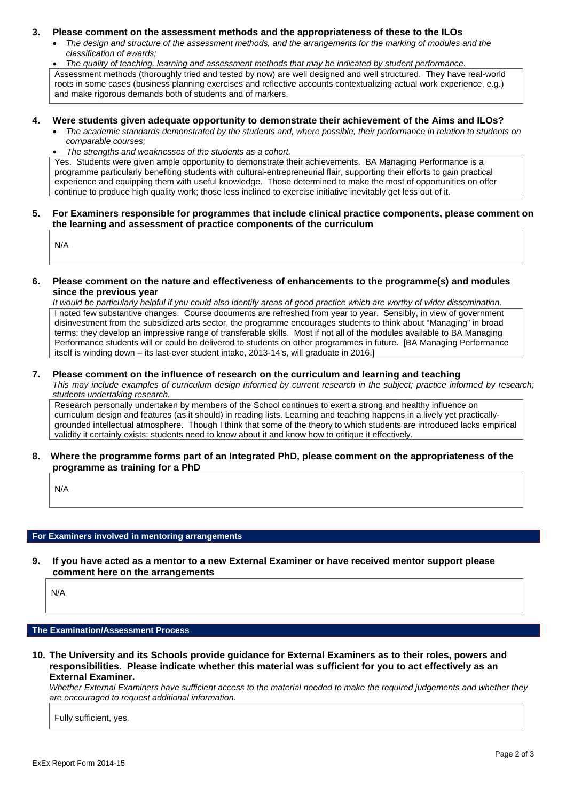#### **3. Please comment on the assessment methods and the appropriateness of these to the ILOs**

- *The design and structure of the assessment methods, and the arrangements for the marking of modules and the classification of awards;*
- *The quality of teaching, learning and assessment methods that may be indicated by student performance.*

Assessment methods (thoroughly tried and tested by now) are well designed and well structured. They have real-world roots in some cases (business planning exercises and reflective accounts contextualizing actual work experience, e.g.) and make rigorous demands both of students and of markers.

#### **4. Were students given adequate opportunity to demonstrate their achievement of the Aims and ILOs?**

- *The academic standards demonstrated by the students and, where possible, their performance in relation to students on comparable courses;*
- *The strengths and weaknesses of the students as a cohort.*

Yes. Students were given ample opportunity to demonstrate their achievements. BA Managing Performance is a programme particularly benefiting students with cultural-entrepreneurial flair, supporting their efforts to gain practical experience and equipping them with useful knowledge. Those determined to make the most of opportunities on offer continue to produce high quality work; those less inclined to exercise initiative inevitably get less out of it.

#### **5. For Examiners responsible for programmes that include clinical practice components, please comment on the learning and assessment of practice components of the curriculum**

N/A

#### **6. Please comment on the nature and effectiveness of enhancements to the programme(s) and modules since the previous year**

*It would be particularly helpful if you could also identify areas of good practice which are worthy of wider dissemination.* I noted few substantive changes. Course documents are refreshed from year to year. Sensibly, in view of government disinvestment from the subsidized arts sector, the programme encourages students to think about "Managing" in broad terms: they develop an impressive range of transferable skills. Most if not all of the modules available to BA Managing Performance students will or could be delivered to students on other programmes in future. [BA Managing Performance itself is winding down – its last-ever student intake, 2013-14's, will graduate in 2016.]

#### **7. Please comment on the influence of research on the curriculum and learning and teaching**

*This may include examples of curriculum design informed by current research in the subject; practice informed by research; students undertaking research.*

Research personally undertaken by members of the School continues to exert a strong and healthy influence on curriculum design and features (as it should) in reading lists. Learning and teaching happens in a lively yet practicallygrounded intellectual atmosphere. Though I think that some of the theory to which students are introduced lacks empirical validity it certainly exists: students need to know about it and know how to critique it effectively.

#### **8. Where the programme forms part of an Integrated PhD, please comment on the appropriateness of the programme as training for a PhD**

N/A

## **For Examiners involved in mentoring arrangements**

**9. If you have acted as a mentor to a new External Examiner or have received mentor support please comment here on the arrangements**

N/A

# **The Examination/Assessment Process**

**10. The University and its Schools provide guidance for External Examiners as to their roles, powers and responsibilities. Please indicate whether this material was sufficient for you to act effectively as an External Examiner.**

*Whether External Examiners have sufficient access to the material needed to make the required judgements and whether they are encouraged to request additional information.*

Fully sufficient, yes.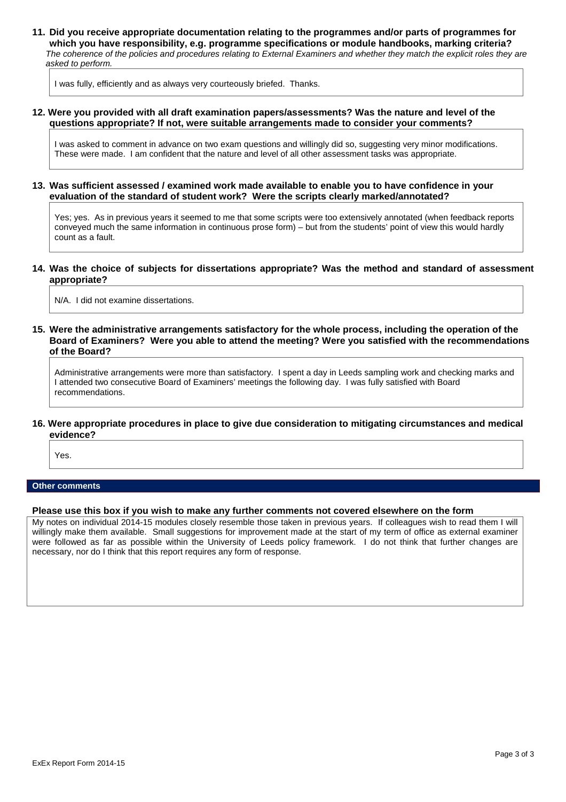**11. Did you receive appropriate documentation relating to the programmes and/or parts of programmes for which you have responsibility, e.g. programme specifications or module handbooks, marking criteria?** *The coherence of the policies and procedures relating to External Examiners and whether they match the explicit roles they are asked to perform.*

I was fully, efficiently and as always very courteously briefed. Thanks.

#### **12. Were you provided with all draft examination papers/assessments? Was the nature and level of the questions appropriate? If not, were suitable arrangements made to consider your comments?**

I was asked to comment in advance on two exam questions and willingly did so, suggesting very minor modifications. These were made. I am confident that the nature and level of all other assessment tasks was appropriate.

#### **13. Was sufficient assessed / examined work made available to enable you to have confidence in your evaluation of the standard of student work? Were the scripts clearly marked/annotated?**

Yes; yes. As in previous years it seemed to me that some scripts were too extensively annotated (when feedback reports conveyed much the same information in continuous prose form) – but from the students' point of view this would hardly count as a fault.

#### **14. Was the choice of subjects for dissertations appropriate? Was the method and standard of assessment appropriate?**

N/A. I did not examine dissertations.

**15. Were the administrative arrangements satisfactory for the whole process, including the operation of the Board of Examiners? Were you able to attend the meeting? Were you satisfied with the recommendations of the Board?**

Administrative arrangements were more than satisfactory. I spent a day in Leeds sampling work and checking marks and I attended two consecutive Board of Examiners' meetings the following day. I was fully satisfied with Board recommendations.

#### **16. Were appropriate procedures in place to give due consideration to mitigating circumstances and medical evidence?**

Yes.

#### **Other comments**

#### **Please use this box if you wish to make any further comments not covered elsewhere on the form**

My notes on individual 2014-15 modules closely resemble those taken in previous years. If colleagues wish to read them I will willingly make them available. Small suggestions for improvement made at the start of my term of office as external examiner were followed as far as possible within the University of Leeds policy framework. I do not think that further changes are necessary, nor do I think that this report requires any form of response.